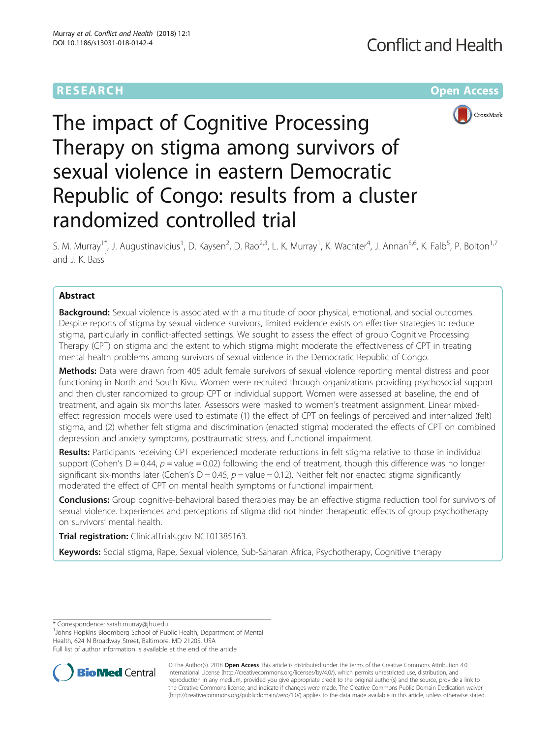# **RESEARCH CHE Open Access**



# The impact of Cognitive Processing Therapy on stigma among survivors of sexual violence in eastern Democratic Republic of Congo: results from a cluster randomized controlled trial

S. M. Murray<sup>1\*</sup>, J. Augustinavicius<sup>1</sup>, D. Kaysen<sup>2</sup>, D. Rao<sup>2,3</sup>, L. K. Murray<sup>1</sup>, K. Wachter<sup>4</sup>, J. Annan<sup>5,6</sup>, K. Falb<sup>5</sup>, P. Bolton<sup>1,7</sup> and J. K. Bass<sup>1</sup>

# Abstract

**Background:** Sexual violence is associated with a multitude of poor physical, emotional, and social outcomes. Despite reports of stigma by sexual violence survivors, limited evidence exists on effective strategies to reduce stigma, particularly in conflict-affected settings. We sought to assess the effect of group Cognitive Processing Therapy (CPT) on stigma and the extent to which stigma might moderate the effectiveness of CPT in treating mental health problems among survivors of sexual violence in the Democratic Republic of Congo.

Methods: Data were drawn from 405 adult female survivors of sexual violence reporting mental distress and poor functioning in North and South Kivu. Women were recruited through organizations providing psychosocial support and then cluster randomized to group CPT or individual support. Women were assessed at baseline, the end of treatment, and again six months later. Assessors were masked to women's treatment assignment. Linear mixedeffect regression models were used to estimate (1) the effect of CPT on feelings of perceived and internalized (felt) stigma, and (2) whether felt stigma and discrimination (enacted stigma) moderated the effects of CPT on combined depression and anxiety symptoms, posttraumatic stress, and functional impairment.

Results: Participants receiving CPT experienced moderate reductions in felt stigma relative to those in individual support (Cohen's  $D = 0.44$ ,  $p =$  value = 0.02) following the end of treatment, though this difference was no longer significant six-months later (Cohen's  $D = 0.45$ ,  $p =$  value = 0.12). Neither felt nor enacted stigma significantly moderated the effect of CPT on mental health symptoms or functional impairment.

**Conclusions:** Group cognitive-behavioral based therapies may be an effective stigma reduction tool for survivors of sexual violence. Experiences and perceptions of stigma did not hinder therapeutic effects of group psychotherapy on survivors' mental health.

**Trial registration:** [ClinicalTrials.gov](http://clinicaltrials.gov) NCT01385163.

Keywords: Social stigma, Rape, Sexual violence, Sub-Saharan Africa, Psychotherapy, Cognitive therapy

<sup>1</sup> Johns Hopkins Bloomberg School of Public Health, Department of Mental

Health, 624 N Broadway Street, Baltimore, MD 21205, USA

Full list of author information is available at the end of the article



© The Author(s). 2018 Open Access This article is distributed under the terms of the Creative Commons Attribution 4.0 International License [\(http://creativecommons.org/licenses/by/4.0/](http://creativecommons.org/licenses/by/4.0/)), which permits unrestricted use, distribution, and reproduction in any medium, provided you give appropriate credit to the original author(s) and the source, provide a link to the Creative Commons license, and indicate if changes were made. The Creative Commons Public Domain Dedication waiver [\(http://creativecommons.org/publicdomain/zero/1.0/](http://creativecommons.org/publicdomain/zero/1.0/)) applies to the data made available in this article, unless otherwise stated.

<sup>\*</sup> Correspondence: [sarah.murray@jhu.edu](mailto:sarah.murray@jhu.edu) <sup>1</sup>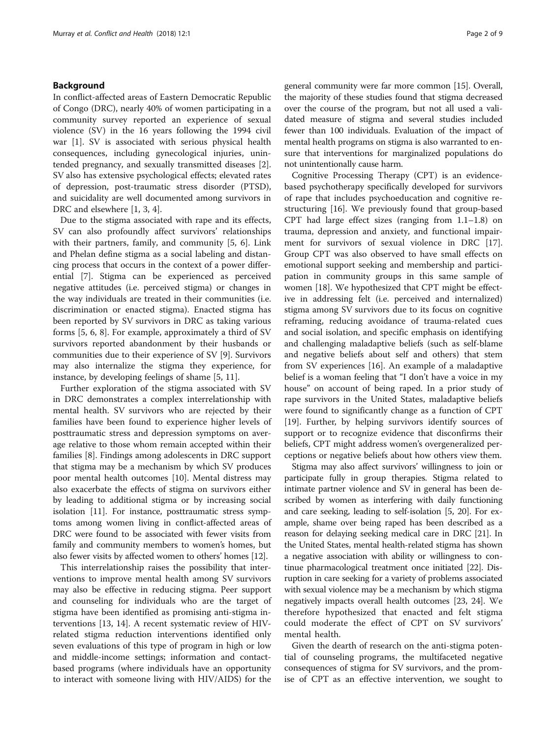## Background

In conflict-affected areas of Eastern Democratic Republic of Congo (DRC), nearly 40% of women participating in a community survey reported an experience of sexual violence (SV) in the 16 years following the 1994 civil war [\[1\]](#page-7-0). SV is associated with serious physical health consequences, including gynecological injuries, unintended pregnancy, and sexually transmitted diseases [\[2](#page-8-0)]. SV also has extensive psychological effects; elevated rates of depression, post-traumatic stress disorder (PTSD), and suicidality are well documented among survivors in DRC and elsewhere [\[1](#page-7-0), [3](#page-8-0), [4](#page-8-0)].

Due to the stigma associated with rape and its effects, SV can also profoundly affect survivors' relationships with their partners, family, and community [[5](#page-8-0), [6\]](#page-8-0). Link and Phelan define stigma as a social labeling and distancing process that occurs in the context of a power differential [[7](#page-8-0)]. Stigma can be experienced as perceived negative attitudes (i.e. perceived stigma) or changes in the way individuals are treated in their communities (i.e. discrimination or enacted stigma). Enacted stigma has been reported by SV survivors in DRC as taking various forms [[5](#page-8-0), [6, 8\]](#page-8-0). For example, approximately a third of SV survivors reported abandonment by their husbands or communities due to their experience of SV [[9\]](#page-8-0). Survivors may also internalize the stigma they experience, for instance, by developing feelings of shame [[5, 11\]](#page-8-0).

Further exploration of the stigma associated with SV in DRC demonstrates a complex interrelationship with mental health. SV survivors who are rejected by their families have been found to experience higher levels of posttraumatic stress and depression symptoms on average relative to those whom remain accepted within their families [\[8\]](#page-8-0). Findings among adolescents in DRC support that stigma may be a mechanism by which SV produces poor mental health outcomes [\[10](#page-8-0)]. Mental distress may also exacerbate the effects of stigma on survivors either by leading to additional stigma or by increasing social isolation [[11\]](#page-8-0). For instance, posttraumatic stress symptoms among women living in conflict-affected areas of DRC were found to be associated with fewer visits from family and community members to women's homes, but also fewer visits by affected women to others' homes [\[12\]](#page-8-0).

This interrelationship raises the possibility that interventions to improve mental health among SV survivors may also be effective in reducing stigma. Peer support and counseling for individuals who are the target of stigma have been identified as promising anti-stigma interventions [\[13](#page-8-0), [14](#page-8-0)]. A recent systematic review of HIVrelated stigma reduction interventions identified only seven evaluations of this type of program in high or low and middle-income settings; information and contactbased programs (where individuals have an opportunity to interact with someone living with HIV/AIDS) for the general community were far more common [\[15\]](#page-8-0). Overall, the majority of these studies found that stigma decreased over the course of the program, but not all used a validated measure of stigma and several studies included fewer than 100 individuals. Evaluation of the impact of mental health programs on stigma is also warranted to ensure that interventions for marginalized populations do not unintentionally cause harm.

Cognitive Processing Therapy (CPT) is an evidencebased psychotherapy specifically developed for survivors of rape that includes psychoeducation and cognitive restructuring [\[16\]](#page-8-0). We previously found that group-based CPT had large effect sizes (ranging from 1.1–1.8) on trauma, depression and anxiety, and functional impairment for survivors of sexual violence in DRC [\[17](#page-8-0)]. Group CPT was also observed to have small effects on emotional support seeking and membership and participation in community groups in this same sample of women [[18\]](#page-8-0). We hypothesized that CPT might be effective in addressing felt (i.e. perceived and internalized) stigma among SV survivors due to its focus on cognitive reframing, reducing avoidance of trauma-related cues and social isolation, and specific emphasis on identifying and challenging maladaptive beliefs (such as self-blame and negative beliefs about self and others) that stem from SV experiences [[16\]](#page-8-0). An example of a maladaptive belief is a woman feeling that "I don't have a voice in my house" on account of being raped. In a prior study of rape survivors in the United States, maladaptive beliefs were found to significantly change as a function of CPT [[19\]](#page-8-0). Further, by helping survivors identify sources of support or to recognize evidence that disconfirms their beliefs, CPT might address women's overgeneralized perceptions or negative beliefs about how others view them.

Stigma may also affect survivors' willingness to join or participate fully in group therapies. Stigma related to intimate partner violence and SV in general has been described by women as interfering with daily functioning and care seeking, leading to self-isolation [[5](#page-8-0), [20\]](#page-8-0). For example, shame over being raped has been described as a reason for delaying seeking medical care in DRC [[21](#page-8-0)]. In the United States, mental health-related stigma has shown a negative association with ability or willingness to continue pharmacological treatment once initiated [\[22\]](#page-8-0). Disruption in care seeking for a variety of problems associated with sexual violence may be a mechanism by which stigma negatively impacts overall health outcomes [\[23, 24\]](#page-8-0). We therefore hypothesized that enacted and felt stigma could moderate the effect of CPT on SV survivors' mental health.

Given the dearth of research on the anti-stigma potential of counseling programs, the multifaceted negative consequences of stigma for SV survivors, and the promise of CPT as an effective intervention, we sought to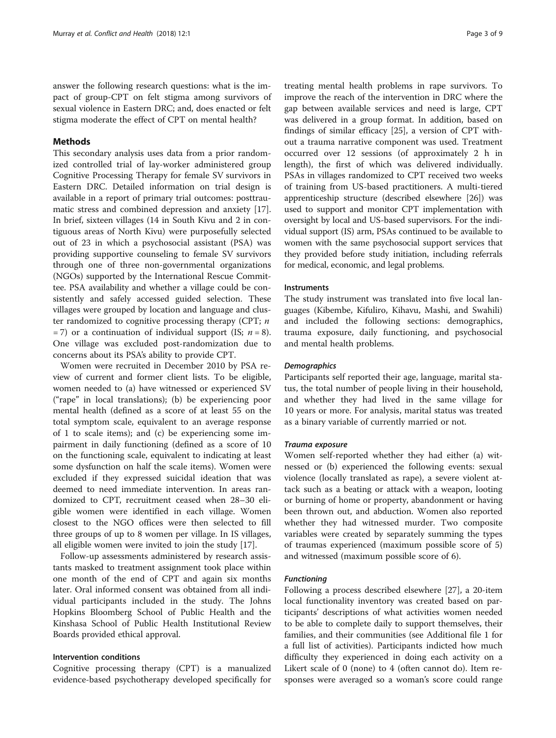answer the following research questions: what is the impact of group-CPT on felt stigma among survivors of sexual violence in Eastern DRC; and, does enacted or felt stigma moderate the effect of CPT on mental health?

#### Methods

This secondary analysis uses data from a prior randomized controlled trial of lay-worker administered group Cognitive Processing Therapy for female SV survivors in Eastern DRC. Detailed information on trial design is available in a report of primary trial outcomes: posttraumatic stress and combined depression and anxiety [\[17](#page-8-0)]. In brief, sixteen villages (14 in South Kivu and 2 in contiguous areas of North Kivu) were purposefully selected out of 23 in which a psychosocial assistant (PSA) was providing supportive counseling to female SV survivors through one of three non-governmental organizations (NGOs) supported by the International Rescue Committee. PSA availability and whether a village could be consistently and safely accessed guided selection. These villages were grouped by location and language and cluster randomized to cognitive processing therapy (CPT;  $n$  $= 7$ ) or a continuation of individual support (IS;  $n = 8$ ). One village was excluded post-randomization due to concerns about its PSA's ability to provide CPT.

Women were recruited in December 2010 by PSA review of current and former client lists. To be eligible, women needed to (a) have witnessed or experienced SV ("rape" in local translations); (b) be experiencing poor mental health (defined as a score of at least 55 on the total symptom scale, equivalent to an average response of 1 to scale items); and (c) be experiencing some impairment in daily functioning (defined as a score of 10 on the functioning scale, equivalent to indicating at least some dysfunction on half the scale items). Women were excluded if they expressed suicidal ideation that was deemed to need immediate intervention. In areas randomized to CPT, recruitment ceased when 28–30 eligible women were identified in each village. Women closest to the NGO offices were then selected to fill three groups of up to 8 women per village. In IS villages, all eligible women were invited to join the study [\[17](#page-8-0)].

Follow-up assessments administered by research assistants masked to treatment assignment took place within one month of the end of CPT and again six months later. Oral informed consent was obtained from all individual participants included in the study. The Johns Hopkins Bloomberg School of Public Health and the Kinshasa School of Public Health Institutional Review Boards provided ethical approval.

## Intervention conditions

Cognitive processing therapy (CPT) is a manualized evidence-based psychotherapy developed specifically for

treating mental health problems in rape survivors. To improve the reach of the intervention in DRC where the gap between available services and need is large, CPT was delivered in a group format. In addition, based on findings of similar efficacy [[25\]](#page-8-0), a version of CPT without a trauma narrative component was used. Treatment occurred over 12 sessions (of approximately 2 h in length), the first of which was delivered individually. PSAs in villages randomized to CPT received two weeks of training from US-based practitioners. A multi-tiered apprenticeship structure (described elsewhere [[26](#page-8-0)]) was used to support and monitor CPT implementation with oversight by local and US-based supervisors. For the individual support (IS) arm, PSAs continued to be available to women with the same psychosocial support services that they provided before study initiation, including referrals for medical, economic, and legal problems.

#### **Instruments**

The study instrument was translated into five local languages (Kibembe, Kifuliro, Kihavu, Mashi, and Swahili) and included the following sections: demographics, trauma exposure, daily functioning, and psychosocial and mental health problems.

#### **Demographics**

Participants self reported their age, language, marital status, the total number of people living in their household, and whether they had lived in the same village for 10 years or more. For analysis, marital status was treated as a binary variable of currently married or not.

#### Trauma exposure

Women self-reported whether they had either (a) witnessed or (b) experienced the following events: sexual violence (locally translated as rape), a severe violent attack such as a beating or attack with a weapon, looting or burning of home or property, abandonment or having been thrown out, and abduction. Women also reported whether they had witnessed murder. Two composite variables were created by separately summing the types of traumas experienced (maximum possible score of 5) and witnessed (maximum possible score of 6).

## Functioning

Following a process described elsewhere [[27\]](#page-8-0), a 20-item local functionality inventory was created based on participants' descriptions of what activities women needed to be able to complete daily to support themselves, their families, and their communities (see Additional file [1](#page-7-0) for a full list of activities). Participants indicted how much difficulty they experienced in doing each activity on a Likert scale of 0 (none) to 4 (often cannot do). Item responses were averaged so a woman's score could range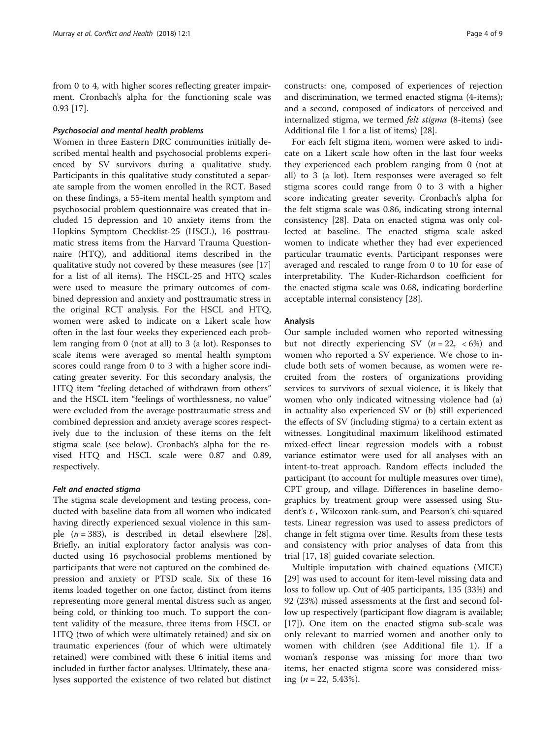from 0 to 4, with higher scores reflecting greater impairment. Cronbach's alpha for the functioning scale was 0.93 [[17\]](#page-8-0).

## Psychosocial and mental health problems

Women in three Eastern DRC communities initially described mental health and psychosocial problems experienced by SV survivors during a qualitative study. Participants in this qualitative study constituted a separate sample from the women enrolled in the RCT. Based on these findings, a 55-item mental health symptom and psychosocial problem questionnaire was created that included 15 depression and 10 anxiety items from the Hopkins Symptom Checklist-25 (HSCL), 16 posttraumatic stress items from the Harvard Trauma Questionnaire (HTQ), and additional items described in the qualitative study not covered by these measures (see [[17](#page-8-0)] for a list of all items). The HSCL-25 and HTQ scales were used to measure the primary outcomes of combined depression and anxiety and posttraumatic stress in the original RCT analysis. For the HSCL and HTQ, women were asked to indicate on a Likert scale how often in the last four weeks they experienced each problem ranging from 0 (not at all) to 3 (a lot). Responses to scale items were averaged so mental health symptom scores could range from 0 to 3 with a higher score indicating greater severity. For this secondary analysis, the HTQ item "feeling detached of withdrawn from others" and the HSCL item "feelings of worthlessness, no value" were excluded from the average posttraumatic stress and combined depression and anxiety average scores respectively due to the inclusion of these items on the felt stigma scale (see below). Cronbach's alpha for the revised HTQ and HSCL scale were 0.87 and 0.89, respectively.

#### Felt and enacted stigma

The stigma scale development and testing process, conducted with baseline data from all women who indicated having directly experienced sexual violence in this sample  $(n = 383)$ , is described in detail elsewhere [\[28](#page-8-0)]. Briefly, an initial exploratory factor analysis was conducted using 16 psychosocial problems mentioned by participants that were not captured on the combined depression and anxiety or PTSD scale. Six of these 16 items loaded together on one factor, distinct from items representing more general mental distress such as anger, being cold, or thinking too much. To support the content validity of the measure, three items from HSCL or HTQ (two of which were ultimately retained) and six on traumatic experiences (four of which were ultimately retained) were combined with these 6 initial items and included in further factor analyses. Ultimately, these analyses supported the existence of two related but distinct constructs: one, composed of experiences of rejection and discrimination, we termed enacted stigma (4-items); and a second, composed of indicators of perceived and internalized stigma, we termed felt stigma (8-items) (see Additional file [1](#page-7-0) for a list of items) [\[28](#page-8-0)].

For each felt stigma item, women were asked to indicate on a Likert scale how often in the last four weeks they experienced each problem ranging from 0 (not at all) to 3 (a lot). Item responses were averaged so felt stigma scores could range from 0 to 3 with a higher score indicating greater severity. Cronbach's alpha for the felt stigma scale was 0.86, indicating strong internal consistency [[28\]](#page-8-0). Data on enacted stigma was only collected at baseline. The enacted stigma scale asked women to indicate whether they had ever experienced particular traumatic events. Participant responses were averaged and rescaled to range from 0 to 10 for ease of interpretability. The Kuder-Richardson coefficient for the enacted stigma scale was 0.68, indicating borderline acceptable internal consistency [[28](#page-8-0)].

#### Analysis

Our sample included women who reported witnessing but not directly experiencing SV  $(n = 22, \lt 6\%)$  and women who reported a SV experience. We chose to include both sets of women because, as women were recruited from the rosters of organizations providing services to survivors of sexual violence, it is likely that women who only indicated witnessing violence had (a) in actuality also experienced SV or (b) still experienced the effects of SV (including stigma) to a certain extent as witnesses. Longitudinal maximum likelihood estimated mixed-effect linear regression models with a robust variance estimator were used for all analyses with an intent-to-treat approach. Random effects included the participant (to account for multiple measures over time), CPT group, and village. Differences in baseline demographics by treatment group were assessed using Student'<sup>s</sup> t-, Wilcoxon rank-sum, and Pearson's chi-squared tests. Linear regression was used to assess predictors of change in felt stigma over time. Results from these tests and consistency with prior analyses of data from this trial [\[17](#page-8-0), [18\]](#page-8-0) guided covariate selection.

Multiple imputation with chained equations (MICE) [[29\]](#page-8-0) was used to account for item-level missing data and loss to follow up. Out of 405 participants, 135 (33%) and 92 (23%) missed assessments at the first and second follow up respectively (participant flow diagram is available; [[17\]](#page-8-0)). One item on the enacted stigma sub-scale was only relevant to married women and another only to women with children (see Additional file [1](#page-7-0)). If a woman's response was missing for more than two items, her enacted stigma score was considered missing  $(n = 22, 5.43\%).$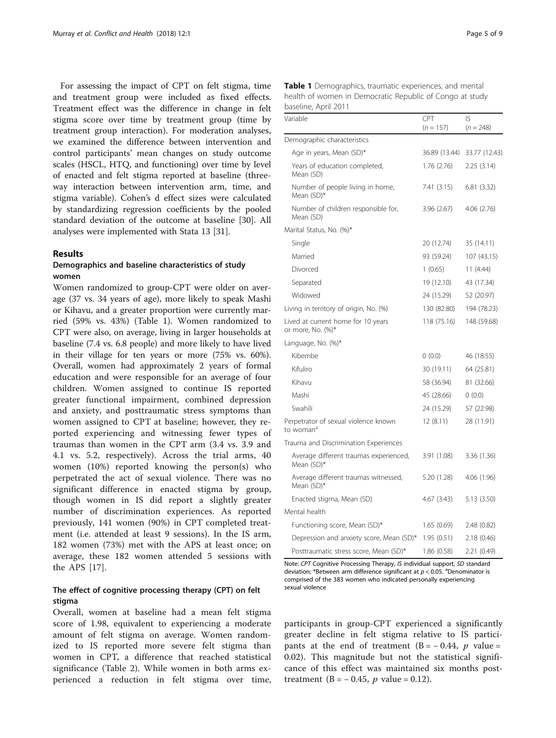For assessing the impact of CPT on felt stigma, time and treatment group were included as fixed effects. Treatment effect was the difference in change in felt stigma score over time by treatment group (time by treatment group interaction). For moderation analyses, we examined the difference between intervention and control participants' mean changes on study outcome scales (HSCL, HTQ, and functioning) over time by level of enacted and felt stigma reported at baseline (threeway interaction between intervention arm, time, and stigma variable). Cohen's d effect sizes were calculated by standardizing regression coefficients by the pooled standard deviation of the outcome at baseline [\[30\]](#page-8-0). All analyses were implemented with Stata 13 [\[31](#page-8-0)].

## Results

# Demographics and baseline characteristics of study women

Women randomized to group-CPT were older on average (37 vs. 34 years of age), more likely to speak Mashi or Kihavu, and a greater proportion were currently married (59% vs. 43%) (Table 1). Women randomized to CPT were also, on average, living in larger households at baseline (7.4 vs. 6.8 people) and more likely to have lived in their village for ten years or more (75% vs. 60%). Overall, women had approximately 2 years of formal education and were responsible for an average of four children. Women assigned to continue IS reported greater functional impairment, combined depression and anxiety, and posttraumatic stress symptoms than women assigned to CPT at baseline; however, they reported experiencing and witnessing fewer types of traumas than women in the CPT arm (3.4 vs. 3.9 and 4.1 vs. 5.2, respectively). Across the trial arms, 40 women (10%) reported knowing the person(s) who perpetrated the act of sexual violence. There was no significant difference in enacted stigma by group, though women in IS did report a slightly greater number of discrimination experiences. As reported previously, 141 women (90%) in CPT completed treatment (i.e. attended at least 9 sessions). In the IS arm, 182 women (73%) met with the APS at least once; on average, these 182 women attended 5 sessions with the APS [[17\]](#page-8-0).

# The effect of cognitive processing therapy (CPT) on felt stigma

Overall, women at baseline had a mean felt stigma score of 1.98, equivalent to experiencing a moderate amount of felt stigma on average. Women randomized to IS reported more severe felt stigma than women in CPT, a difference that reached statistical significance (Table [2](#page-5-0)). While women in both arms experienced a reduction in felt stigma over time,

| <b>Table 1</b> Demographics, traumatic experiences, and mental |  |
|----------------------------------------------------------------|--|
| health of women in Democratic Republic of Congo at study       |  |
| baseline, April 2011                                           |  |

| Variable                                                      | CPT<br>$(n = 157)$ | IS<br>$(n = 248)$ |
|---------------------------------------------------------------|--------------------|-------------------|
| Demographic characteristics                                   |                    |                   |
| Age in years, Mean (SD)*                                      | 36.89 (13.44)      | 33.77 (12.43)     |
| Years of education completed,<br>Mean (SD)                    | 1.76 (2.76)        | 2.25(3.14)        |
| Number of people living in home,<br>Mean (SD)*                | 7.41(3.15)         | 6.81(3.32)        |
| Number of children responsible for,<br>Mean (SD)              | 3.96 (2.67)        | 4.06 (2.76)       |
| Marital Status, No. (%)*                                      |                    |                   |
| Single                                                        | 20 (12.74)         | 35 (14.11)        |
| Married                                                       | 93 (59.24)         | 107 (43.15)       |
| Divorced                                                      | 1(0.65)            | 11 (4.44)         |
| Separated                                                     | 19 (12.10)         | 43 (17.34)        |
| Widowed                                                       | 24 (15.29)         | 52 (20.97)        |
| Living in territory of origin, No. (%)                        | 130 (82.80)        | 194 (78.23)       |
| Lived at current home for 10 years<br>or more, No. (%)*       | 118 (75.16)        | 148 (59.68)       |
| Language, No. (%)*                                            |                    |                   |
| Kibembe                                                       | 0(0.0)             | 46 (18.55)        |
| Kifuliro                                                      | 30 (19.11)         | 64 (25.81)        |
| Kihavu                                                        | 58 (36.94)         | 81 (32.66)        |
| Mashi                                                         | 45 (28.66)         | 0(0.0)            |
| Swahili                                                       | 24 (15.29)         | 57 (22.98)        |
| Perpetrator of sexual violence known<br>to woman <sup>a</sup> | 12(8.11)           | 28 (11.91)        |
| Trauma and Discrimination Experiences                         |                    |                   |
| Average different traumas experienced,<br>Mean (SD)*          | 3.91 (1.08)        | 3.36 (1.36)       |
| Average different traumas witnessed,<br>Mean (SD)*            | 5.20 (1.28)        | 4.06 (1.96)       |
| Enacted stigma, Mean (SD)                                     | 4.67(3.43)         | 5.13 (3.50)       |
| Mental health                                                 |                    |                   |
| Functioning score, Mean (SD)*                                 | 1.65(0.69)         | 2.48 (0.82)       |
| Depression and anxiety score, Mean (SD)*                      | 1.95(0.51)         | 2.18 (0.46)       |
| Posttraumatic stress score, Mean (SD)*                        | 1.86 (0.58)        | 2.21 (0.49)       |

Note: CPT Cognitive Processing Therapy, IS individual support, SD standard deviation; \*Between arm difference significant at  $p < 0.05$ . <sup>a</sup>Denominator is comprised of the 383 women who indicated personally experiencing sexual violence

participants in group-CPT experienced a significantly greater decline in felt stigma relative to IS participants at the end of treatment  $(B = -0.44, p$  value = 0.02). This magnitude but not the statistical significance of this effect was maintained six months posttreatment (B =  $-0.45$ , p value = 0.12).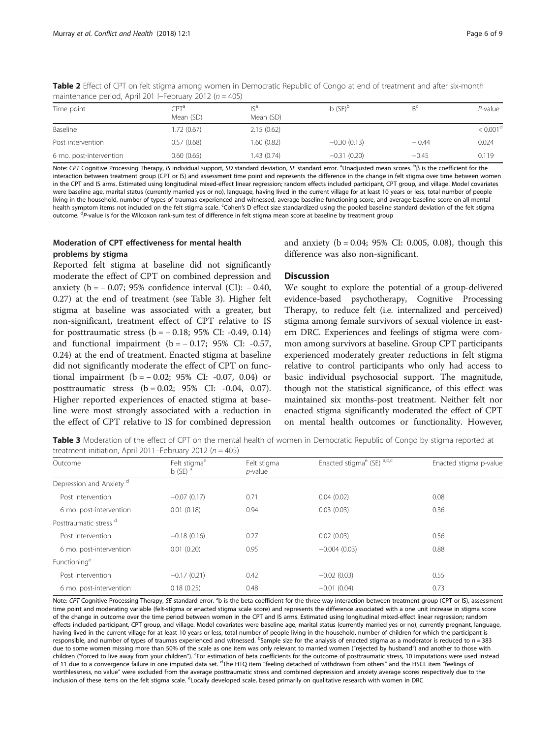<span id="page-5-0"></span>Table 2 Effect of CPT on felt stigma among women in Democratic Republic of Congo at end of treatment and after six-month maintenance period, April 201 l–February 2012 ( $n = 405$ )

| $\subset$ PT $^{\rm a}$<br>Mean (SD) | Mean (SD)   | $b(SE)^D$     | B,      | $P$ -value           |
|--------------------------------------|-------------|---------------|---------|----------------------|
| 1.72 (0.67)                          | 2.15(0.62)  |               |         | < 0.001 <sup>d</sup> |
| 0.57(0.68)                           | 1.60(0.82)  | $-0.30(0.13)$ | $-0.44$ | 0.024                |
| 0.60(0.65)                           | 1.43 (0.74) | $-0.31(0.20)$ | $-0.45$ | 0.119                |
|                                      |             |               |         |                      |

Note: CPT Cognitive Processing Therapy, /S individual support, SD standard deviation, SE standard error. <sup>a</sup>Unadjusted mean scores. <sup>b</sup>β is the coefficient for the interaction between treatment group (CPT or IS) and assessment time point and represents the difference in the change in felt stigma over time between women in the CPT and IS arms. Estimated using longitudinal mixed-effect linear regression; random effects included participant, CPT group, and village. Model covariates were baseline age, marital status (currently married yes or no), language, having lived in the current village for at least 10 years or less, total number of people living in the household, number of types of traumas experienced and witnessed, average baseline functioning score, and average baseline score on all mental health symptom items not included on the felt stigma scale. <sup>c</sup>Cohen's D effect size standardized using the pooled baseline standard deviation of the felt stigma outcome. <sup>d</sup>P-value is for the Wilcoxon rank-sum test of difference in felt stigma mean score at baseline by treatment group

# Moderation of CPT effectiveness for mental health problems by stigma

Reported felt stigma at baseline did not significantly moderate the effect of CPT on combined depression and anxiety ( $b = -0.07$ ; 95% confidence interval (CI):  $-0.40$ , 0.27) at the end of treatment (see Table 3). Higher felt stigma at baseline was associated with a greater, but non-significant, treatment effect of CPT relative to IS for posttraumatic stress  $(b = -0.18; 95\% \text{ CI: } -0.49, 0.14)$ and functional impairment  $(b = -0.17; 95\% \text{ CI: } -0.57$ , 0.24) at the end of treatment. Enacted stigma at baseline did not significantly moderate the effect of CPT on functional impairment  $(b = -0.02; 95\% \text{ CI: } -0.07, 0.04)$  or posttraumatic stress (b = 0.02; 95% CI: -0.04, 0.07). Higher reported experiences of enacted stigma at baseline were most strongly associated with a reduction in the effect of CPT relative to IS for combined depression and anxiety ( $b = 0.04$ ; 95% CI: 0.005, 0.08), though this difference was also non-significant.

## **Discussion**

We sought to explore the potential of a group-delivered evidence-based psychotherapy, Cognitive Processing Therapy, to reduce felt (i.e. internalized and perceived) stigma among female survivors of sexual violence in eastern DRC. Experiences and feelings of stigma were common among survivors at baseline. Group CPT participants experienced moderately greater reductions in felt stigma relative to control participants who only had access to basic individual psychosocial support. The magnitude, though not the statistical significance, of this effect was maintained six months-post treatment. Neither felt nor enacted stigma significantly moderated the effect of CPT on mental health outcomes or functionality. However,

Table 3 Moderation of the effect of CPT on the mental health of women in Democratic Republic of Congo by stigma reported at treatment initiation, April 2011–February 2012 ( $n = 405$ )

| Outcome                             | Felt stigma <sup>e</sup><br>$b$ (SE) $^a$ | Felt stigma<br>$p$ -value | Enacted stigma <sup>e</sup> (SE) a,b,c | Enacted stigma p-value |
|-------------------------------------|-------------------------------------------|---------------------------|----------------------------------------|------------------------|
| Depression and Anxiety <sup>d</sup> |                                           |                           |                                        |                        |
| Post intervention                   | $-0.07(0.17)$                             | 0.71                      | 0.04(0.02)                             | 0.08                   |
| 6 mo. post-intervention             | 0.01(0.18)                                | 0.94                      | 0.03(0.03)                             | 0.36                   |
| Posttraumatic stress d              |                                           |                           |                                        |                        |
| Post intervention                   | $-0.18(0.16)$                             | 0.27                      | 0.02(0.03)                             | 0.56                   |
| 6 mo. post-intervention             | 0.01(0.20)                                | 0.95                      | $-0.004(0.03)$                         | 0.88                   |
| Functioning <sup>e</sup>            |                                           |                           |                                        |                        |
| Post intervention                   | $-0.17(0.21)$                             | 0.42                      | $-0.02(0.03)$                          | 0.55                   |
| 6 mo. post-intervention             | 0.18(0.25)                                | 0.48                      | $-0.01(0.04)$                          | 0.73                   |

Note: CPT Cognitive Processing Therapy, SE standard error. <sup>a</sup>b is the beta-coefficient for the three-way interaction between treatment group (CPT or IS), assessment time point and moderating variable (felt-stigma or enacted stigma scale score) and represents the difference associated with a one unit increase in stigma score of the change in outcome over the time period between women in the CPT and IS arms. Estimated using longitudinal mixed-effect linear regression; random effects included participant, CPT group, and village. Model covariates were baseline age, marital status (currently married yes or no), currently pregnant, language, having lived in the current village for at least 10 years or less, total number of people living in the household, number of children for which the participant is responsible, and number of types of traumas experienced and witnessed. <sup>b</sup>Sample size for the analysis of enacted stigma as a moderator is reduced to  $n = 383$ due to some women missing more than 50% of the scale as one item was only relevant to married women ("rejected by husband") and another to those with children ("forced to live away from your children"). <sup>c</sup>For estimation of beta coefficients for the outcome of posttraumatic stress, 10 imputations were used instead of 11 due to a convergence failure in one imputed data set. <sup>d</sup>The HTQ item "feeling detached of withdrawn from others" and the HSCL item "feelings of worthlessness, no value" were excluded from the average posttraumatic stress and combined depression and anxiety average scores respectively due to the inclusion of these items on the felt stigma scale. <sup>e</sup>Locally developed scale, based primarily on qualitative research with women in DRC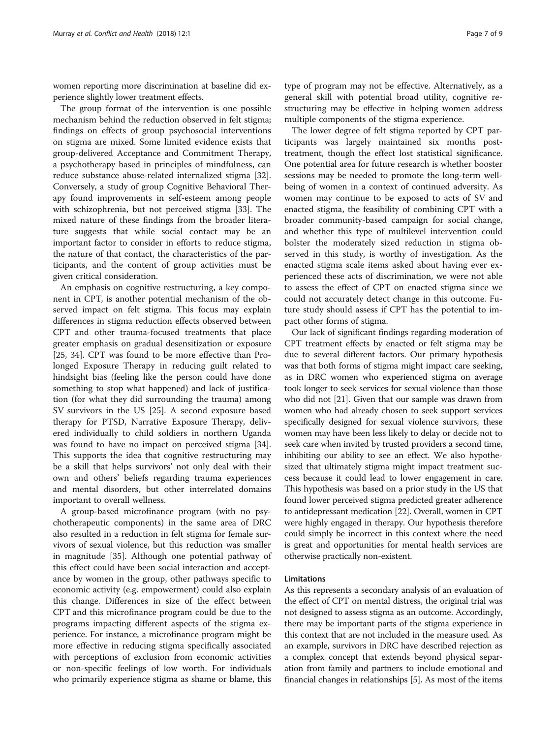women reporting more discrimination at baseline did experience slightly lower treatment effects.

The group format of the intervention is one possible mechanism behind the reduction observed in felt stigma; findings on effects of group psychosocial interventions on stigma are mixed. Some limited evidence exists that group-delivered Acceptance and Commitment Therapy, a psychotherapy based in principles of mindfulness, can reduce substance abuse-related internalized stigma [\[32](#page-8-0)]. Conversely, a study of group Cognitive Behavioral Therapy found improvements in self-esteem among people with schizophrenia, but not perceived stigma [[33\]](#page-8-0). The mixed nature of these findings from the broader literature suggests that while social contact may be an important factor to consider in efforts to reduce stigma, the nature of that contact, the characteristics of the participants, and the content of group activities must be given critical consideration.

An emphasis on cognitive restructuring, a key component in CPT, is another potential mechanism of the observed impact on felt stigma. This focus may explain differences in stigma reduction effects observed between CPT and other trauma-focused treatments that place greater emphasis on gradual desensitization or exposure [[25, 34](#page-8-0)]. CPT was found to be more effective than Prolonged Exposure Therapy in reducing guilt related to hindsight bias (feeling like the person could have done something to stop what happened) and lack of justification (for what they did surrounding the trauma) among SV survivors in the US [[25\]](#page-8-0). A second exposure based therapy for PTSD, Narrative Exposure Therapy, delivered individually to child soldiers in northern Uganda was found to have no impact on perceived stigma [\[34](#page-8-0)]. This supports the idea that cognitive restructuring may be a skill that helps survivors' not only deal with their own and others' beliefs regarding trauma experiences and mental disorders, but other interrelated domains important to overall wellness.

A group-based microfinance program (with no psychotherapeutic components) in the same area of DRC also resulted in a reduction in felt stigma for female survivors of sexual violence, but this reduction was smaller in magnitude [[35](#page-8-0)]. Although one potential pathway of this effect could have been social interaction and acceptance by women in the group, other pathways specific to economic activity (e.g. empowerment) could also explain this change. Differences in size of the effect between CPT and this microfinance program could be due to the programs impacting different aspects of the stigma experience. For instance, a microfinance program might be more effective in reducing stigma specifically associated with perceptions of exclusion from economic activities or non-specific feelings of low worth. For individuals who primarily experience stigma as shame or blame, this

type of program may not be effective. Alternatively, as a general skill with potential broad utility, cognitive restructuring may be effective in helping women address multiple components of the stigma experience.

The lower degree of felt stigma reported by CPT participants was largely maintained six months posttreatment, though the effect lost statistical significance. One potential area for future research is whether booster sessions may be needed to promote the long-term wellbeing of women in a context of continued adversity. As women may continue to be exposed to acts of SV and enacted stigma, the feasibility of combining CPT with a broader community-based campaign for social change, and whether this type of multilevel intervention could bolster the moderately sized reduction in stigma observed in this study, is worthy of investigation. As the enacted stigma scale items asked about having ever experienced these acts of discrimination, we were not able to assess the effect of CPT on enacted stigma since we could not accurately detect change in this outcome. Future study should assess if CPT has the potential to impact other forms of stigma.

Our lack of significant findings regarding moderation of CPT treatment effects by enacted or felt stigma may be due to several different factors. Our primary hypothesis was that both forms of stigma might impact care seeking, as in DRC women who experienced stigma on average took longer to seek services for sexual violence than those who did not [[21](#page-8-0)]. Given that our sample was drawn from women who had already chosen to seek support services specifically designed for sexual violence survivors, these women may have been less likely to delay or decide not to seek care when invited by trusted providers a second time, inhibiting our ability to see an effect. We also hypothesized that ultimately stigma might impact treatment success because it could lead to lower engagement in care. This hypothesis was based on a prior study in the US that found lower perceived stigma predicted greater adherence to antidepressant medication [\[22\]](#page-8-0). Overall, women in CPT were highly engaged in therapy. Our hypothesis therefore could simply be incorrect in this context where the need is great and opportunities for mental health services are otherwise practically non-existent.

#### Limitations

As this represents a secondary analysis of an evaluation of the effect of CPT on mental distress, the original trial was not designed to assess stigma as an outcome. Accordingly, there may be important parts of the stigma experience in this context that are not included in the measure used. As an example, survivors in DRC have described rejection as a complex concept that extends beyond physical separation from family and partners to include emotional and financial changes in relationships [[5](#page-8-0)]. As most of the items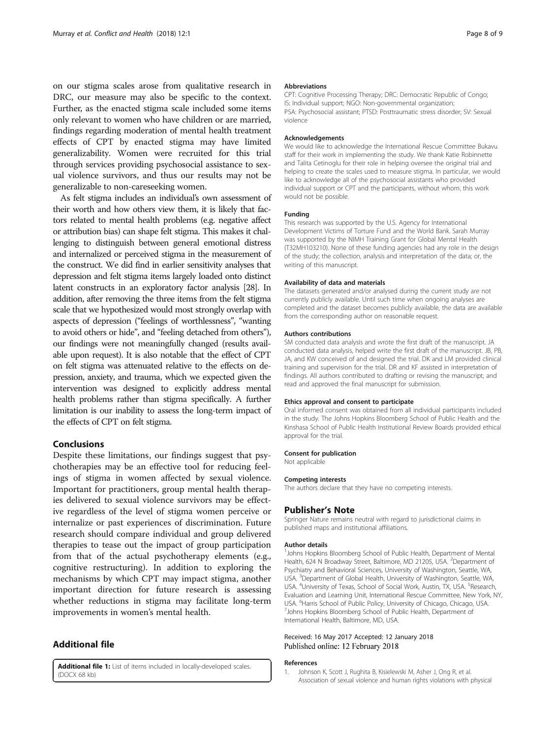<span id="page-7-0"></span>on our stigma scales arose from qualitative research in DRC, our measure may also be specific to the context. Further, as the enacted stigma scale included some items only relevant to women who have children or are married, findings regarding moderation of mental health treatment effects of CPT by enacted stigma may have limited generalizability. Women were recruited for this trial through services providing psychosocial assistance to sexual violence survivors, and thus our results may not be generalizable to non-careseeking women.

As felt stigma includes an individual's own assessment of their worth and how others view them, it is likely that factors related to mental health problems (e.g. negative affect or attribution bias) can shape felt stigma. This makes it challenging to distinguish between general emotional distress and internalized or perceived stigma in the measurement of the construct. We did find in earlier sensitivity analyses that depression and felt stigma items largely loaded onto distinct latent constructs in an exploratory factor analysis [[28\]](#page-8-0). In addition, after removing the three items from the felt stigma scale that we hypothesized would most strongly overlap with aspects of depression ("feelings of worthlessness", "wanting to avoid others or hide", and "feeling detached from others"), our findings were not meaningfully changed (results available upon request). It is also notable that the effect of CPT on felt stigma was attenuated relative to the effects on depression, anxiety, and trauma, which we expected given the intervention was designed to explicitly address mental health problems rather than stigma specifically. A further limitation is our inability to assess the long-term impact of the effects of CPT on felt stigma.

# Conclusions

Despite these limitations, our findings suggest that psychotherapies may be an effective tool for reducing feelings of stigma in women affected by sexual violence. Important for practitioners, group mental health therapies delivered to sexual violence survivors may be effective regardless of the level of stigma women perceive or internalize or past experiences of discrimination. Future research should compare individual and group delivered therapies to tease out the impact of group participation from that of the actual psychotherapy elements (e.g., cognitive restructuring). In addition to exploring the mechanisms by which CPT may impact stigma, another important direction for future research is assessing whether reductions in stigma may facilitate long-term improvements in women's mental health.

#### Additional file

[Additional file 1:](dx.doi.org/10.1186/s13031-018-0142-4) List of items included in locally-developed scales. (DOCX 68 kb)

#### Abbreviations

CPT: Cognitive Processing Therapy; DRC: Democratic Republic of Congo; IS: Individual support; NGO: Non-governmental organization; PSA: Psychosocial assistant; PTSD: Posttraumatic stress disorder; SV: Sexual violence

#### Acknowledgements

We would like to acknowledge the International Rescue Committee Bukavu staff for their work in implementing the study. We thank Katie Robinnette and Talita Cetinoglu for their role in helping oversee the original trial and helping to create the scales used to measure stigma. In particular, we would like to acknowledge all of the psychosocial assistants who provided individual support or CPT and the participants, without whom, this work would not be possible.

#### Funding

This research was supported by the U.S. Agency for International Development Victims of Torture Fund and the World Bank. Sarah Murray was supported by the NIMH Training Grant for Global Mental Health (T32MH103210). None of these funding agencies had any role in the design of the study; the collection, analysis and interpretation of the data; or, the writing of this manuscript.

#### Availability of data and materials

The datasets generated and/or analysed during the current study are not currently publicly available. Until such time when ongoing analyses are completed and the dataset becomes publicly available, the data are available from the corresponding author on reasonable request.

#### Authors contributions

SM conducted data analysis and wrote the first draft of the manuscript. JA conducted data analysis, helped write the first draft of the manuscript. JB, PB, JA, and KW conceived of and designed the trial. DK and LM provided clinical training and supervision for the trial. DR and KF assisted in interpretation of findings. All authors contributed to drafting or revising the manuscript, and read and approved the final manuscript for submission.

#### Ethics approval and consent to participate

Oral informed consent was obtained from all individual participants included in the study. The Johns Hopkins Bloomberg School of Public Health and the Kinshasa School of Public Health Institutional Review Boards provided ethical approval for the trial.

#### Consent for publication

Not applicable

#### Competing interests

The authors declare that they have no competing interests.

#### Publisher's Note

Springer Nature remains neutral with regard to jurisdictional claims in published maps and institutional affiliations.

#### Author details

<sup>1</sup> Johns Hopkins Bloomberg School of Public Health, Department of Mental Health, 624 N Broadway Street, Baltimore, MD 21205, USA. <sup>2</sup>Department of Psychiatry and Behavioral Sciences, University of Washington, Seattle, WA, USA. <sup>3</sup> Department of Global Health, University of Washington, Seattle, WA USA. <sup>4</sup>University of Texas, School of Social Work, Austin, TX, USA. <sup>5</sup>Research, Evaluation and Learning Unit, International Rescue Committee, New York, NY, USA. <sup>6</sup> Harris School of Public Policy, University of Chicago, Chicago, USA.<br><sup>7</sup> Johns Honkins Bloomborg School of Public Hoalth, Dopartment of <sup>7</sup>Johns Hopkins Bloomberg School of Public Health, Department of International Health, Baltimore, MD, USA.

#### Received: 16 May 2017 Accepted: 12 January 2018 Published online: 12 February 2018

#### References

1. Johnson K, Scott J, Rughita B, Kisielewski M, Asher J, Ong R, et al. Association of sexual violence and human rights violations with physical